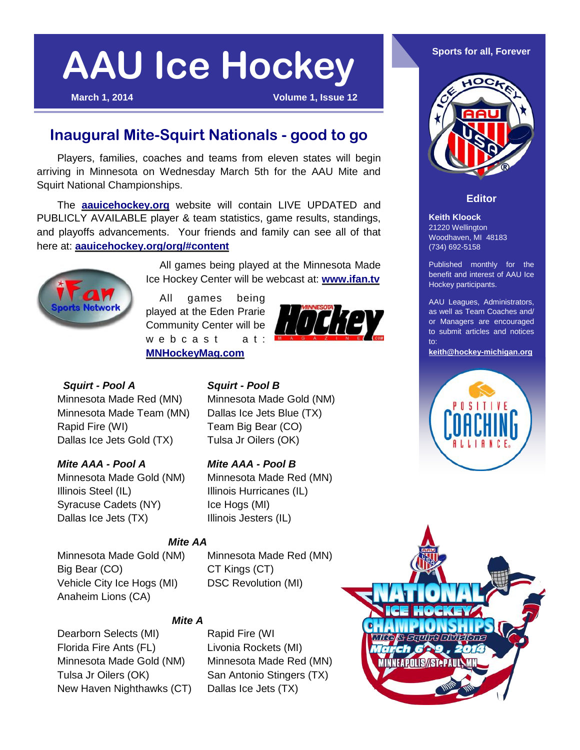**March 1, 2014 Volume 1, Issue 12**

## **Inaugural Mite-Squirt Nationals - good to go**

Players, families, coaches and teams from eleven states will begin arriving in Minnesota on Wednesday March 5th for the AAU Mite and Squirt National Championships.

The **[aauicehockey.org](http://www.aauicehockey.org)** website will contain LIVE UPDATED and PUBLICLY AVAILABLE player & team statistics, game results, standings, and playoffs advancements. Your friends and family can see all of that here at: **[aauicehockey.org/org/#content](http://www.aauicehockey.org/org/#content)**



All games being played at the Minnesota Made Ice Hockey Center will be webcast at: **[www.ifan.tv](http://www.ifan.tv)**

All games being played at the Eden Prarie Community Center will be  $w e b c a s t$  at: **[MNHockeyMag.com](http://minnesotahockeymag.com/video/minnesota-hockey-magazine-live-streaming/)**



## *Squirt - Pool A Squirt - Pool B*

Minnesota Made Red (MN) Minnesota Made Gold (NM) Minnesota Made Team (MN) Dallas Ice Jets Blue (TX) Rapid Fire (WI) Team Big Bear (CO) Dallas Ice Jets Gold (TX) Tulsa Jr Oilers (OK)

### *Mite AAA - Pool A Mite AAA - Pool B*

Minnesota Made Gold (NM) Minnesota Made Red (MN) Illinois Steel (IL) Illinois Hurricanes (IL) Syracuse Cadets (NY) lce Hogs (MI) Dallas Ice Jets (TX) Illinois Jesters (IL)

## *Mite AA*

Minnesota Made Gold (NM) Minnesota Made Red (MN) Big Bear (CO) CT Kings (CT) Vehicle City Ice Hogs (MI) DSC Revolution (MI) Anaheim Lions (CA)

## *Mite A*

Dearborn Selects (MI) Rapid Fire (WI Florida Fire Ants (FL) Livonia Rockets (MI) Minnesota Made Gold (NM) Minnesota Made Red (MN) Tulsa Jr Oilers (OK) San Antonio Stingers (TX) New Haven Nighthawks (CT) Dallas Ice Jets (TX)



#### **Editor**

**Keith Kloock** 21220 Wellington Woodhaven, MI 48183 (734) 692-5158

Published monthly for the benefit and interest of AAU Ice Hockey participants.

AAU Leagues, Administrators, as well as Team Coaches and/ or Managers are encouraged to submit articles and notices to:

**[keith@hockey-michigan.org](mailto:keith@hockey-michigan.org)**



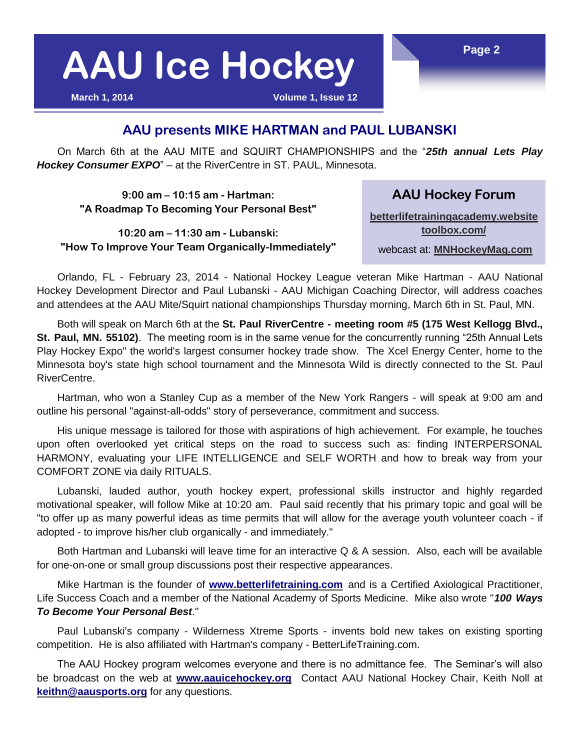**March 1, 2014 Volume 1, Issue 12**

### **AAU presents MIKE HARTMAN and PAUL LUBANSKI**

On March 6th at the AAU MITE and SQUIRT CHAMPIONSHIPS and the "*25th annual Lets Play Hockey Consumer EXPO*" – at the RiverCentre in ST. PAUL, Minnesota.

**9:00 am – 10:15 am - Hartman: "A Roadmap To Becoming Your Personal Best"**

**10:20 am – 11:30 am - Lubanski: "How To Improve Your Team Organically-Immediately"** **[betterlifetrainingacademy.website](http://betterlifetrainingacademy.websitetoolbox.com/) [toolbox.com/](http://betterlifetrainingacademy.websitetoolbox.com/)**

**AAU Hockey Forum**

webcast at: **[MNHockeyMag.com](http://minnesotahockeymag.com/video/minnesota-hockey-magazine-live-streaming/)**

Orlando, FL - February 23, 2014 - National Hockey League veteran Mike Hartman - AAU National Hockey Development Director and Paul Lubanski - AAU Michigan Coaching Director, will address coaches and attendees at the AAU Mite/Squirt national championships Thursday morning, March 6th in St. Paul, MN.

Both will speak on March 6th at the **St. Paul RiverCentre - meeting room #5 (175 West Kellogg Blvd., St. Paul, MN. 55102)**. The meeting room is in the same venue for the concurrently running "25th Annual Lets Play Hockey Expo" the world's largest consumer hockey trade show. The Xcel Energy Center, home to the Minnesota boy's state high school tournament and the Minnesota Wild is directly connected to the St. Paul RiverCentre.

Hartman, who won a Stanley Cup as a member of the New York Rangers - will speak at 9:00 am and outline his personal "against-all-odds" story of perseverance, commitment and success.

His unique message is tailored for those with aspirations of high achievement. For example, he touches upon often overlooked yet critical steps on the road to success such as: finding INTERPERSONAL HARMONY, evaluating your LIFE INTELLIGENCE and SELF WORTH and how to break way from your COMFORT ZONE via daily RITUALS.

Lubanski, lauded author, youth hockey expert, professional skills instructor and highly regarded motivational speaker, will follow Mike at 10:20 am. Paul said recently that his primary topic and goal will be "to offer up as many powerful ideas as time permits that will allow for the average youth volunteer coach - if adopted - to improve his/her club organically - and immediately."

Both Hartman and Lubanski will leave time for an interactive Q & A session. Also, each will be available for one-on-one or small group discussions post their respective appearances.

Mike Hartman is the founder of **[www.betterlifetraining.com](http://www.betterlifetraining.com)** and is a Certified Axiological Practitioner, Life Success Coach and a member of the National Academy of Sports Medicine. Mike also wrote "*100 Ways To Become Your Personal Best*."

Paul Lubanski's company - Wilderness Xtreme Sports - invents bold new takes on existing sporting competition. He is also affiliated with Hartman's company - BetterLifeTraining.com.

The AAU Hockey program welcomes everyone and there is no admittance fee. The Seminar's will also be broadcast on the web at **[www.aauicehockey.org](http://www.aauicehockey.org)** Contact AAU National Hockey Chair, Keith Noll at **[keithn@aausports.org](mailto:keithn@aausports.org)** for any questions.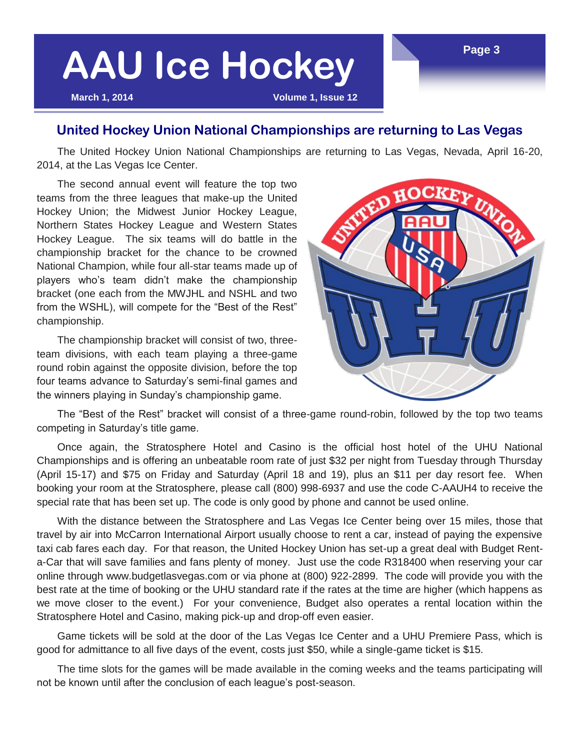**March 1, 2014 Volume 1, Issue 12**

### **United Hockey Union National Championships are returning to Las Vegas**

The United Hockey Union National Championships are returning to Las Vegas, Nevada, April 16-20, 2014, at the Las Vegas Ice Center.

The second annual event will feature the top two teams from the three leagues that make-up the United Hockey Union; the Midwest Junior Hockey League, Northern States Hockey League and Western States Hockey League. The six teams will do battle in the championship bracket for the chance to be crowned National Champion, while four all-star teams made up of players who's team didn't make the championship bracket (one each from the MWJHL and NSHL and two from the WSHL), will compete for the "Best of the Rest" championship.

The championship bracket will consist of two, threeteam divisions, with each team playing a three-game round robin against the opposite division, before the top four teams advance to Saturday's semi-final games and the winners playing in Sunday's championship game.



The "Best of the Rest" bracket will consist of a three-game round-robin, followed by the top two teams competing in Saturday's title game.

Once again, the Stratosphere Hotel and Casino is the official host hotel of the UHU National Championships and is offering an unbeatable room rate of just \$32 per night from Tuesday through Thursday (April 15-17) and \$75 on Friday and Saturday (April 18 and 19), plus an \$11 per day resort fee. When booking your room at the Stratosphere, please call (800) 998-6937 and use the code C-AAUH4 to receive the special rate that has been set up. The code is only good by phone and cannot be used online.

With the distance between the Stratosphere and Las Vegas Ice Center being over 15 miles, those that travel by air into McCarron International Airport usually choose to rent a car, instead of paying the expensive taxi cab fares each day. For that reason, the United Hockey Union has set-up a great deal with Budget Renta-Car that will save families and fans plenty of money. Just use the code R318400 when reserving your car online through www.budgetlasvegas.com or via phone at (800) 922-2899. The code will provide you with the best rate at the time of booking or the UHU standard rate if the rates at the time are higher (which happens as we move closer to the event.) For your convenience, Budget also operates a rental location within the Stratosphere Hotel and Casino, making pick-up and drop-off even easier.

Game tickets will be sold at the door of the Las Vegas Ice Center and a UHU Premiere Pass, which is good for admittance to all five days of the event, costs just \$50, while a single-game ticket is \$15.

The time slots for the games will be made available in the coming weeks and the teams participating will not be known until after the conclusion of each league's post-season.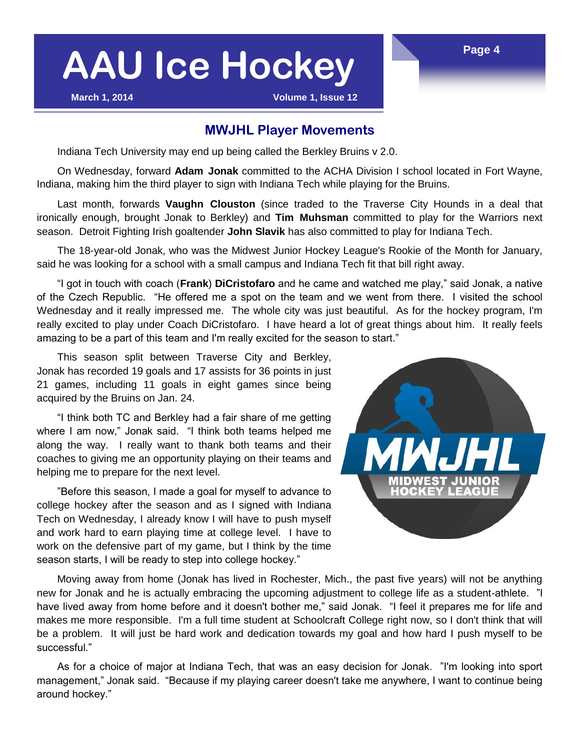**March 1, 2014 Volume 1, Issue 12**

### **MWJHL Player Movements**

Indiana Tech University may end up being called the Berkley Bruins v 2.0.

On Wednesday, forward **Adam Jonak** committed to the ACHA Division I school located in Fort Wayne, Indiana, making him the third player to sign with Indiana Tech while playing for the Bruins.

Last month, forwards **Vaughn Clouston** (since traded to the Traverse City Hounds in a deal that ironically enough, brought Jonak to Berkley) and **Tim Muhsman** committed to play for the Warriors next season. Detroit Fighting Irish goaltender **John Slavik** has also committed to play for Indiana Tech.

The 18-year-old Jonak, who was the Midwest Junior Hockey League's Rookie of the Month for January, said he was looking for a school with a small campus and Indiana Tech fit that bill right away.

"I got in touch with coach (**Frank**) **DiCristofaro** and he came and watched me play," said Jonak, a native of the Czech Republic. "He offered me a spot on the team and we went from there. I visited the school Wednesday and it really impressed me. The whole city was just beautiful. As for the hockey program, I'm really excited to play under Coach DiCristofaro. I have heard a lot of great things about him. It really feels amazing to be a part of this team and I'm really excited for the season to start."

This season split between Traverse City and Berkley, Jonak has recorded 19 goals and 17 assists for 36 points in just 21 games, including 11 goals in eight games since being acquired by the Bruins on Jan. 24.

"I think both TC and Berkley had a fair share of me getting where I am now," Jonak said. "I think both teams helped me along the way. I really want to thank both teams and their coaches to giving me an opportunity playing on their teams and helping me to prepare for the next level.

"Before this season, I made a goal for myself to advance to college hockey after the season and as I signed with Indiana Tech on Wednesday, I already know I will have to push myself and work hard to earn playing time at college level. I have to work on the defensive part of my game, but I think by the time season starts, I will be ready to step into college hockey."



Moving away from home (Jonak has lived in Rochester, Mich., the past five years) will not be anything new for Jonak and he is actually embracing the upcoming adjustment to college life as a student-athlete. "I have lived away from home before and it doesn't bother me," said Jonak. "I feel it prepares me for life and makes me more responsible. I'm a full time student at Schoolcraft College right now, so I don't think that will be a problem. It will just be hard work and dedication towards my goal and how hard I push myself to be successful."

As for a choice of major at Indiana Tech, that was an easy decision for Jonak. "I'm looking into sport management," Jonak said. "Because if my playing career doesn't take me anywhere, I want to continue being around hockey."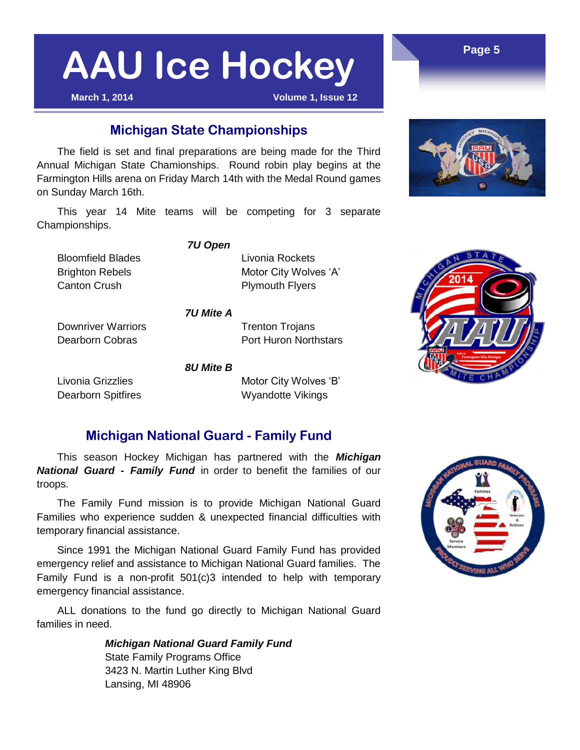**March 1, 2014 Volume 1, Issue 12**

### **Michigan State Championships**

The field is set and final preparations are being made for the Third Annual Michigan State Chamionships. Round robin play begins at the Farmington Hills arena on Friday March 14th with the Medal Round games on Sunday March 16th.

This year 14 Mite teams will be competing for 3 separate Championships.

*7U Open*

**Bloomfield Blades Livonia Rockets** Brighton Rebels Motor City Wolves 'A' Canton Crush **Plymouth Flyers** 

*7U Mite A*

Downriver Warriors **Trenton Trojans** Dearborn Cobras **Port Huron Northstars** 

*8U Mite B*

Livonia Grizzlies **Motor City Wolves 'B'** Dearborn Spitfires Wyandotte Vikings

### **Michigan National Guard - Family Fund**

This season Hockey Michigan has partnered with the *Michigan National Guard - Family Fund* in order to benefit the families of our troops.

The Family Fund mission is to provide Michigan National Guard Families who experience sudden & unexpected financial difficulties with temporary financial assistance.

Since 1991 the Michigan National Guard Family Fund has provided emergency relief and assistance to Michigan National Guard families. The Family Fund is a non-profit 501(c)3 intended to help with temporary emergency financial assistance.

ALL donations to the fund go directly to Michigan National Guard families in need.

> *Michigan National Guard Family Fund* State Family Programs Office 3423 N. Martin Luther King Blvd Lansing, MI 48906







**Page 5**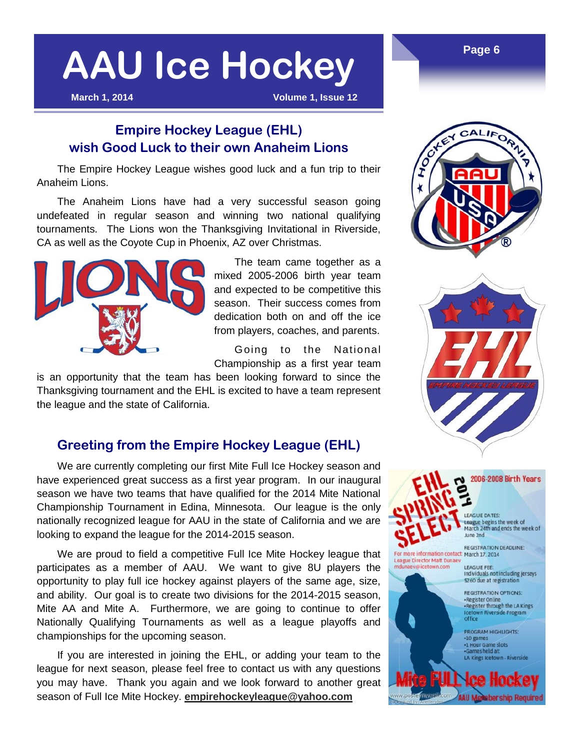**March 1, 2014 Volume 1, Issue 12**

### **Empire Hockey League (EHL) wish Good Luck to their own Anaheim Lions**

The Empire Hockey League wishes good luck and a fun trip to their Anaheim Lions.

The Anaheim Lions have had a very successful season going undefeated in regular season and winning two national qualifying tournaments. The Lions won the Thanksgiving Invitational in Riverside, CA as well as the Coyote Cup in Phoenix, AZ over Christmas.



The team came together as a mixed 2005-2006 birth year team and expected to be competitive this season. Their success comes from dedication both on and off the ice from players, coaches, and parents.

Going to the National Championship as a first year team

is an opportunity that the team has been looking forward to since the Thanksgiving tournament and the EHL is excited to have a team represent the league and the state of California.

### **Greeting from the Empire Hockey League (EHL)**

We are currently completing our first Mite Full Ice Hockey season and have experienced great success as a first year program. In our inaugural season we have two teams that have qualified for the 2014 Mite National Championship Tournament in Edina, Minnesota. Our league is the only nationally recognized league for AAU in the state of California and we are looking to expand the league for the 2014-2015 season.

We are proud to field a competitive Full Ice Mite Hockey league that participates as a member of AAU. We want to give 8U players the opportunity to play full ice hockey against players of the same age, size, and ability. Our goal is to create two divisions for the 2014-2015 season, Mite AA and Mite A. Furthermore, we are going to continue to offer Nationally Qualifying Tournaments as well as a league playoffs and championships for the upcoming season.

If you are interested in joining the EHL, or adding your team to the league for next season, please feel free to contact us with any questions you may have. Thank you again and we look forward to another great season of Full Ice Mite Hockey. **[empirehockeyleague@yahoo.com](mailto:empirehockeyleague@yahoo.com)**



**Page 6**



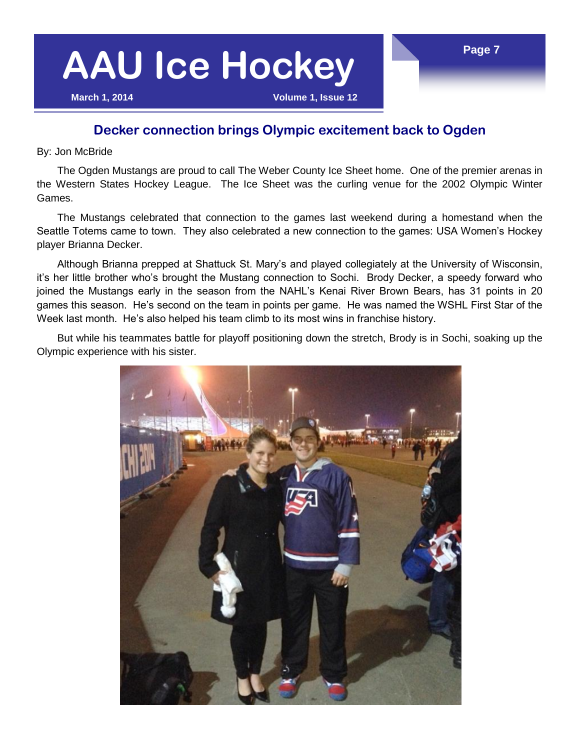### **Page 7**

# **AAU Ice Hockey**

**March 1, 2014 Volume 1, Issue 12**

### **Decker connection brings Olympic excitement back to Ogden**

By: Jon McBride

The Ogden Mustangs are proud to call The Weber County Ice Sheet home. One of the premier arenas in the Western States Hockey League. The Ice Sheet was the curling venue for the 2002 Olympic Winter Games.

The Mustangs celebrated that connection to the games last weekend during a homestand when the Seattle Totems came to town. They also celebrated a new connection to the games: USA Women's Hockey player Brianna Decker.

Although Brianna prepped at Shattuck St. Mary's and played collegiately at the University of Wisconsin, it's her little brother who's brought the Mustang connection to Sochi. Brody Decker, a speedy forward who joined the Mustangs early in the season from the NAHL's Kenai River Brown Bears, has 31 points in 20 games this season. He's second on the team in points per game. He was named the WSHL First Star of the Week last month. He's also helped his team climb to its most wins in franchise history.

But while his teammates battle for playoff positioning down the stretch, Brody is in Sochi, soaking up the Olympic experience with his sister.

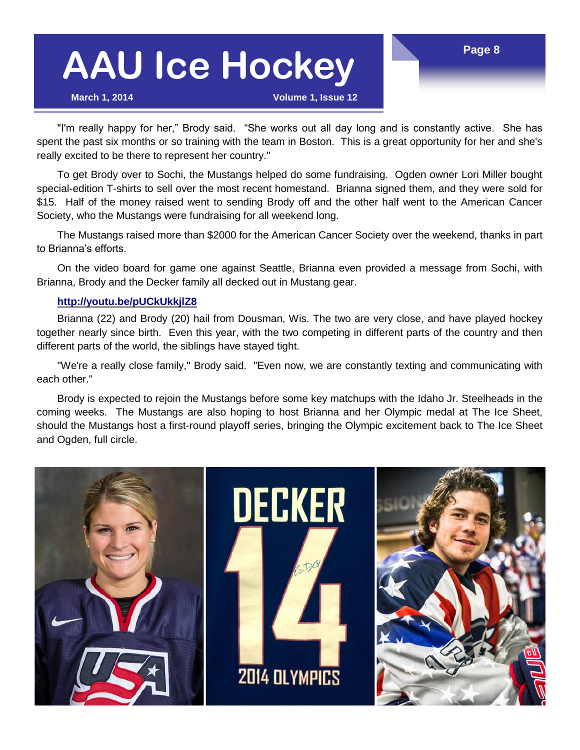**March 1, 2014 Volume 1, Issue 12**

"I'm really happy for her," Brody said. "She works out all day long and is constantly active. She has spent the past six months or so training with the team in Boston. This is a great opportunity for her and she's really excited to be there to represent her country."

To get Brody over to Sochi, the Mustangs helped do some fundraising. Ogden owner Lori Miller bought special-edition T-shirts to sell over the most recent homestand. Brianna signed them, and they were sold for \$15. Half of the money raised went to sending Brody off and the other half went to the American Cancer Society, who the Mustangs were fundraising for all weekend long.

The Mustangs raised more than \$2000 for the American Cancer Society over the weekend, thanks in part to Brianna's efforts.

On the video board for game one against Seattle, Brianna even provided a message from Sochi, with Brianna, Brody and the Decker family all decked out in Mustang gear.

#### **<http://youtu.be/pUCkUkkjlZ8>**

Brianna (22) and Brody (20) hail from Dousman, Wis. The two are very close, and have played hockey together nearly since birth. Even this year, with the two competing in different parts of the country and then different parts of the world, the siblings have stayed tight.

"We're a really close family," Brody said. "Even now, we are constantly texting and communicating with each other."

Brody is expected to rejoin the Mustangs before some key matchups with the Idaho Jr. Steelheads in the coming weeks. The Mustangs are also hoping to host Brianna and her Olympic medal at The Ice Sheet, should the Mustangs host a first-round playoff series, bringing the Olympic excitement back to The Ice Sheet and Ogden, full circle.

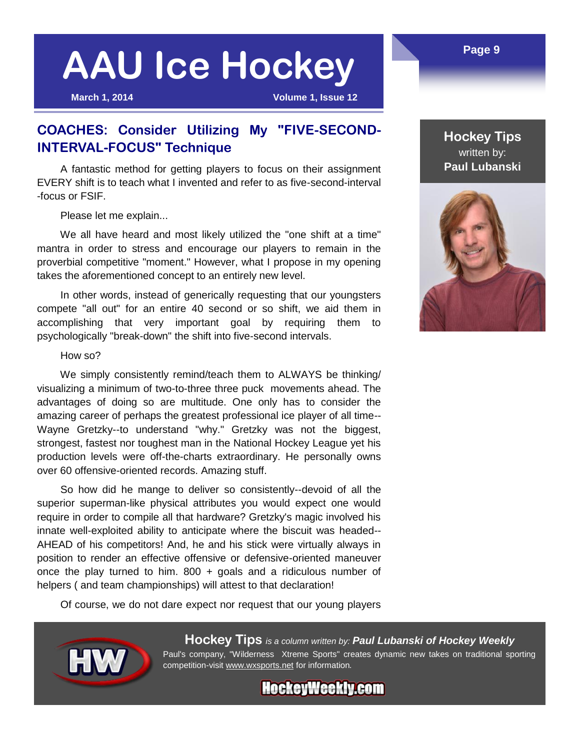**March 1, 2014 Volume 1, Issue 12**

### **COACHES: Consider Utilizing My "FIVE-SECOND-INTERVAL-FOCUS" Technique**

A fantastic method for getting players to focus on their assignment EVERY shift is to teach what I invented and refer to as five-second-interval -focus or FSIF.

Please let me explain...

We all have heard and most likely utilized the "one shift at a time" mantra in order to stress and encourage our players to remain in the proverbial competitive "moment." However, what I propose in my opening takes the aforementioned concept to an entirely new level.

In other words, instead of generically requesting that our youngsters compete "all out" for an entire 40 second or so shift, we aid them in accomplishing that very important goal by requiring them to psychologically "break-down" the shift into five-second intervals.

#### How so?

We simply consistently remind/teach them to ALWAYS be thinking/ visualizing a minimum of two-to-three three puck movements ahead. The advantages of doing so are multitude. One only has to consider the amazing career of perhaps the greatest professional ice player of all time-- Wayne Gretzky--to understand "why." Gretzky was not the biggest, strongest, fastest nor toughest man in the National Hockey League yet his production levels were off-the-charts extraordinary. He personally owns over 60 offensive-oriented records. Amazing stuff.

So how did he mange to deliver so consistently--devoid of all the superior superman-like physical attributes you would expect one would require in order to compile all that hardware? Gretzky's magic involved his innate well-exploited ability to anticipate where the biscuit was headed-- AHEAD of his competitors! And, he and his stick were virtually always in position to render an effective offensive or defensive-oriented maneuver once the play turned to him.  $800 +$  goals and a ridiculous number of helpers ( and team championships) will attest to that declaration!

Of course, we do not dare expect nor request that our young players



**Hockey Tips** *is a column written by: Paul Lubanski of Hockey Weekly* Paul's company, "Wilderness Xtreme Sports" creates dynamic new takes on traditional sporting competition-visit [www.wxsports.net](http://www.wxsports.net) for information*.*

**HockeyWeekly.com** 

### **Hockey Tips** written by: **Paul Lubanski**



#### **Page 9**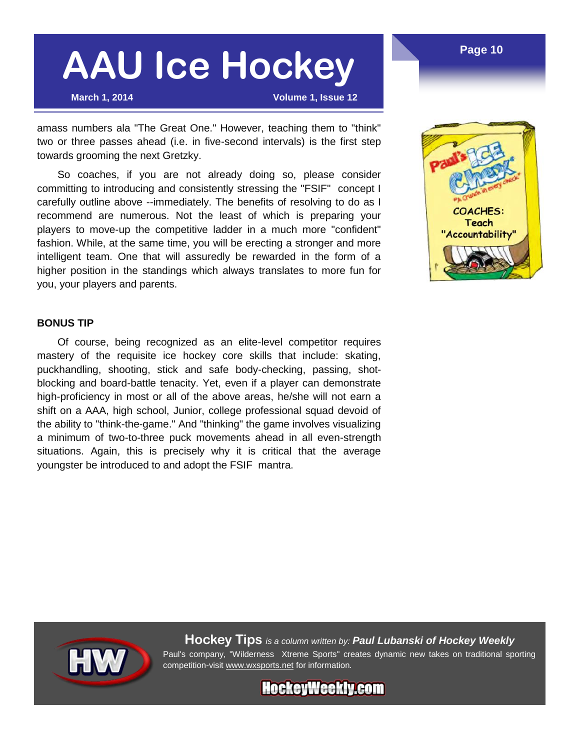**March 1, 2014 Volume 1, Issue 12**

amass numbers ala "The Great One." However, teaching them to "think" two or three passes ahead (i.e. in five-second intervals) is the first step towards grooming the next Gretzky.

So coaches, if you are not already doing so, please consider committing to introducing and consistently stressing the "FSIF" concept I carefully outline above --immediately. The benefits of resolving to do as I recommend are numerous. Not the least of which is preparing your players to move-up the competitive ladder in a much more "confident" fashion. While, at the same time, you will be erecting a stronger and more intelligent team. One that will assuredly be rewarded in the form of a higher position in the standings which always translates to more fun for you, your players and parents.



#### **BONUS TIP**

Of course, being recognized as an elite-level competitor requires mastery of the requisite ice hockey core skills that include: skating, puckhandling, shooting, stick and safe body-checking, passing, shotblocking and board-battle tenacity. Yet, even if a player can demonstrate high-proficiency in most or all of the above areas, he/she will not earn a shift on a AAA, high school, Junior, college professional squad devoid of the ability to "think-the-game." And "thinking" the game involves visualizing a minimum of two-to-three puck movements ahead in all even-strength situations. Again, this is precisely why it is critical that the average youngster be introduced to and adopt the FSIF mantra.



**Hockey Tips** *is a column written by: Paul Lubanski of Hockey Weekly* Paul's company, "Wilderness Xtreme Sports" creates dynamic new takes on traditional sporting competition-visit [www.wxsports.net](http://www.wxsports.net) for information*.*

**HockeyWeekly.com**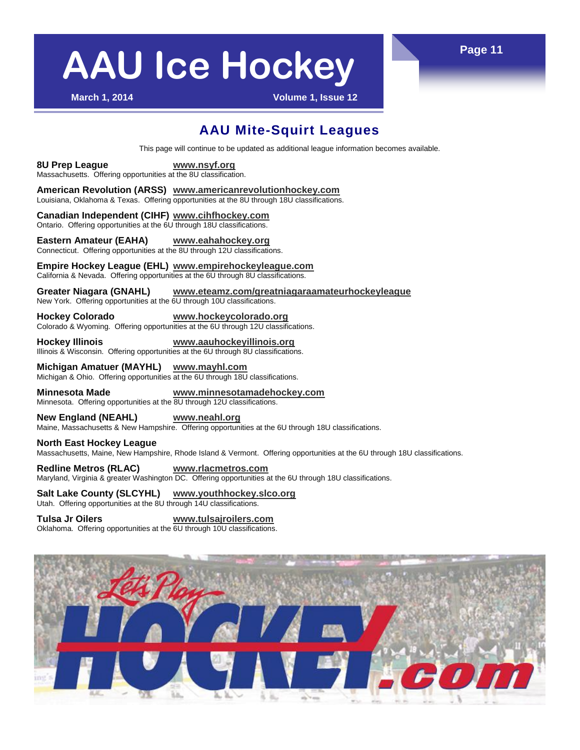**March 1, 2014 Volume 1, Issue 12**

### **AAU Mite-Squirt Leagues**

This page will continue to be updated as additional league information becomes available.

**8U Prep League [www.nsyf.org](http://www.nsyf.org)** Massachusetts. Offering opportunities at the 8U classification.

**American Revolution (ARSS) [www.americanrevolutionhockey.com](http://www.americanrevolutionhockey.com)** Louisiana, Oklahoma & Texas. Offering opportunities at the 8U through 18U classifications.

**Canadian Independent (CIHF) [www.cihfhockey.com](http://www.cihfhockey.com)** Ontario. Offering opportunities at the 6U through 18U classifications.

**Eastern Amateur (EAHA) [www.eahahockey.org](http://www.eahahockey.org)** Connecticut. Offering opportunities at the 8U through 12U classifications.

**Empire Hockey League (EHL) [www.empirehockeyleague.com](http://www.empirehockeyleague.com)** California & Nevada. Offering opportunities at the 6U through 8U classifications.

**Greater Niagara (GNAHL) [www.eteamz.com/greatniagaraamateurhockeyleague](http://www.eteamz.com/greatniagaraamateurhockeyleague)** New York. Offering opportunities at the 6U through 10U classifications.

**Hockey Colorado [www.hockeycolorado.org](http://www.hockeycolorado.org)**

Colorado & Wyoming. Offering opportunities at the 6U through 12U classifications.

**Hockey Illinois [www.aauhockeyillinois.org](http://www.aauhockeyillinois.org)** Illinois & Wisconsin. Offering opportunities at the 6U through 8U classifications.

**Michigan Amatuer (MAYHL) [www.mayhl.com](http://www.mayhl.com)** Michigan & Ohio. Offering opportunities at the 6U through 18U classifications.

**Minnesota Made [www.minnesotamadehockey.com](http://www.minnesotamadehockey.com)** Minnesota. Offering opportunities at the 8U through 12U classifications.

**New England (NEAHL) [www.neahl.org](http://www.neahl.org)** Maine, Massachusetts & New Hampshire. Offering opportunities at the 6U through 18U classifications.

**North East Hockey League**  Massachusetts, Maine, New Hampshire, Rhode Island & Vermont. Offering opportunities at the 6U through 18U classifications.

**Redline Metros (RLAC) [www.rlacmetros.com](http://www.rlacmetros.com)** Maryland, Virginia & greater Washington DC. Offering opportunities at the 6U through 18U classifications.

**Salt Lake County (SLCYHL) [www.youthhockey.slco.org](http://www.youthhockey.slco.org/)**

Utah. Offering opportunities at the 8U through 14U classifications.

**Tulsa Jr Oilers [www.tulsajroilers.com](http://www.tulsajroilers.com)** Oklahoma. Offering opportunities at the 6U through 10U classifications.